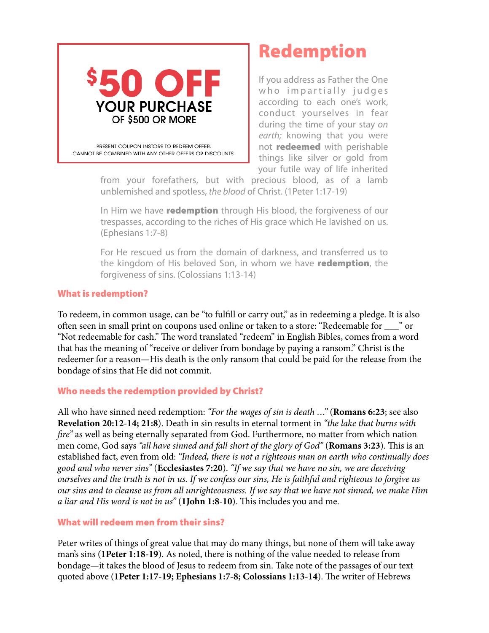

# Redemption

If you address as Father the One who impartially judges according to each one's work, conduct yourselves in fear during the time of your stay *on earth;* knowing that you were not **redeemed** with perishable things like silver or gold from your futile way of life inherited

from your forefathers, but with precious blood, as of a lamb unblemished and spotless, *the blood* of Christ. (1Peter 1:17-19)

In Him we have **redemption** through His blood, the forgiveness of our trespasses, according to the riches of His grace which He lavished on us. (Ephesians 1:7-8)

For He rescued us from the domain of darkness, and transferred us to the kingdom of His beloved Son, in whom we have redemption, the forgiveness of sins. (Colossians 1:13-14)

## What is redemption?

To redeem, in common usage, can be "to fulfll or carry out," as in redeeming a pledge. It is also ofen seen in small print on coupons used online or taken to a store: "Redeemable for \_\_\_" or "Not redeemable for cash." The word translated "redeem" in English Bibles, comes from a word that has the meaning of "receive or deliver from bondage by paying a ransom." Christ is the redeemer for a reason—His death is the only ransom that could be paid for the release from the bondage of sins that He did not commit.

### Who needs the redemption provided by Christ?

All who have sinned need redemption: *"For the wages of sin is death …"* (**Romans 6:23**; see also **Revelation 20:12-14; 21:8**). Death in sin results in eternal torment in *"the lake that burns with*  f*re"* as well as being eternally separated from God. Furthermore, no matter from which nation men come, God says "all have sinned and fall short of the glory of God" (**Romans 3:23**). This is an established fact, even from old: *"Indeed, there is not a righteous man on earth who continually does good and who never sins"* (**Ecclesiastes 7:20**). *"If we say that we have no sin, we are deceiving ourselves and the truth is not in us. If we confess our sins, He is faithful and righteous to forgive us our sins and to cleanse us from all unrighteousness. If we say that we have not sinned, we make Him a liar and His word is not in us*" (1John 1:8-10). This includes you and me.

### What will redeem men from their sins?

Peter writes of things of great value that may do many things, but none of them will take away man's sins (**1Peter 1:18-19**). As noted, there is nothing of the value needed to release from bondage—it takes the blood of Jesus to redeem from sin. Take note of the passages of our text quoted above (1Peter 1:17-19; Ephesians 1:7-8; Colossians 1:13-14). The writer of Hebrews